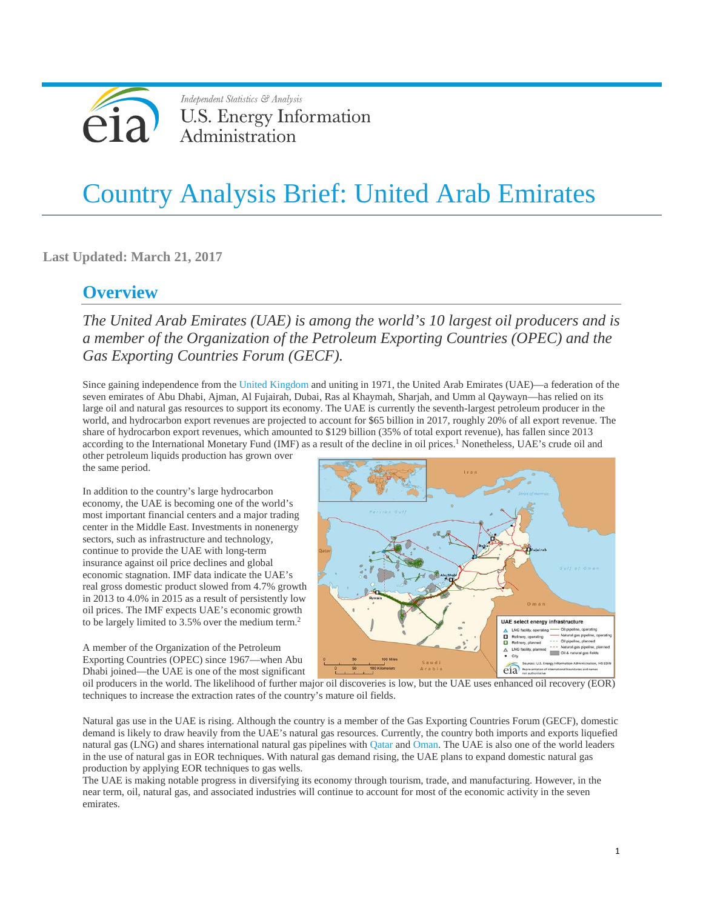

# Country Analysis Brief: United Arab Emirates

**Last Updated: March 21, 2017**

# **Overview**

*The United Arab Emirates (UAE) is among the world's 10 largest oil producers and is a member of the Organization of the Petroleum Exporting Countries (OPEC) and the Gas Exporting Countries Forum (GECF).*

Since gaining independence from the United [Kingdom](http://wwwdev.eia.gov/beta/international/analysis.cfm?iso=GBR) and uniting in 1971, the United Arab Emirates (UAE)—a federation of the seven emirates of Abu Dhabi, Ajman, Al Fujairah, Dubai, Ras al Khaymah, Sharjah, and Umm al Qaywayn—has relied on its large oil and natural gas resources to support its economy. The UAE is currently the seventh-largest petroleum producer in the world, and hydrocarbon export revenues are projected to account for \$65 billion in 2017, roughly 20% of all export revenue. The share of hydrocarbon export revenues, which amounted to \$129 billion (35% of total export revenue), has fallen since 2013 according to the International Monetary Fund (IMF) as a result of the decline in oil prices.<sup>1</sup> Nonetheless, UAE's crude oil and

other petroleum liquids production has grown over the same period.

In addition to the country's large hydrocarbon economy, the UAE is becoming one of the world's most important financial centers and a major trading center in the Middle East. Investments in nonenergy sectors, such as infrastructure and technology, continue to provide the UAE with long-term insurance against oil price declines and global economic stagnation. IMF data indicate the UAE's real gross domestic product slowed from 4.7% growth in 2013 to 4.0% in 2015 as a result of persistently low oil prices. The IMF expects UAE's economic growth to be largely limited to 3.5% over the medium term.2

A member of the Organization of the Petroleum Exporting Countries (OPEC) since 1967—when Abu Dhabi joined—the UAE is one of the most significant



oil producers in the world. The likelihood of further major oil discoveries is low, but the UAE uses enhanced oil recovery (EOR) techniques to increase the extraction rates of the country's mature oil fields.

Natural gas use in the UAE is rising. Although the country is a member of the Gas Exporting Countries Forum (GECF), domestic demand is likely to draw heavily from the UAE's natural gas resources. Currently, the country both imports and exports liquefied natural gas (LNG) and shares international natural gas pipelines with [Qatar](http://wwwdev.eia.gov/beta/international/analysis.cfm?iso=QAT) and [Oman.](http://wwwdev.eia.gov/beta/international/analysis.cfm?iso=OMN) The UAE is also one of the world leaders in the use of natural gas in EOR techniques. With natural gas demand rising, the UAE plans to expand domestic natural gas production by applying EOR techniques to gas wells.

The UAE is making notable progress in diversifying its economy through tourism, trade, and manufacturing. However, in the near term, oil, natural gas, and associated industries will continue to account for most of the economic activity in the seven emirates.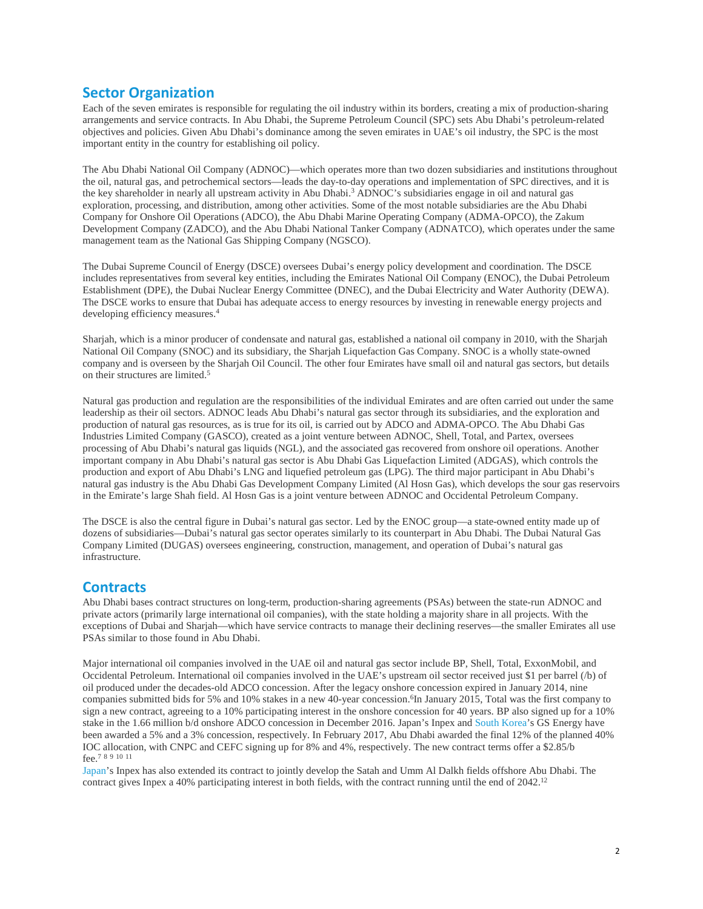### **Sector Organization**

Each of the seven emirates is responsible for regulating the oil industry within its borders, creating a mix of production-sharing arrangements and service contracts. In Abu Dhabi, the Supreme Petroleum Council (SPC) sets Abu Dhabi's petroleum-related objectives and policies. Given Abu Dhabi's dominance among the seven emirates in UAE's oil industry, the SPC is the most important entity in the country for establishing oil policy.

The Abu Dhabi National Oil Company (ADNOC)—which operates more than two dozen subsidiaries and institutions throughout the oil, natural gas, and petrochemical sectors—leads the day-to-day operations and implementation of SPC directives, and it is the key shareholder in nearly all upstream activity in Abu Dhabi.3 ADNOC's subsidiaries engage in oil and natural gas exploration, processing, and distribution, among other activities. Some of the most notable subsidiaries are the Abu Dhabi Company for Onshore Oil Operations (ADCO), the Abu Dhabi Marine Operating Company (ADMA-OPCO), the Zakum Development Company (ZADCO), and the Abu Dhabi National Tanker Company (ADNATCO), which operates under the same management team as the National Gas Shipping Company (NGSCO).

The Dubai Supreme Council of Energy (DSCE) oversees Dubai's energy policy development and coordination. The DSCE includes representatives from several key entities, including the Emirates National Oil Company (ENOC), the Dubai Petroleum Establishment (DPE), the Dubai Nuclear Energy Committee (DNEC), and the Dubai Electricity and Water Authority (DEWA). The DSCE works to ensure that Dubai has adequate access to energy resources by investing in renewable energy projects and developing efficiency measures.4

Sharjah, which is a minor producer of condensate and natural gas, established a national oil company in 2010, with the Sharjah National Oil Company (SNOC) and its subsidiary, the Sharjah Liquefaction Gas Company. SNOC is a wholly state-owned company and is overseen by the Sharjah Oil Council. The other four Emirates have small oil and natural gas sectors, but details on their structures are limited.5

Natural gas production and regulation are the responsibilities of the individual Emirates and are often carried out under the same leadership as their oil sectors. ADNOC leads Abu Dhabi's natural gas sector through its subsidiaries, and the exploration and production of natural gas resources, as is true for its oil, is carried out by ADCO and ADMA-OPCO. The Abu Dhabi Gas Industries Limited Company (GASCO), created as a joint venture between ADNOC, Shell, Total, and Partex, oversees processing of Abu Dhabi's natural gas liquids (NGL), and the associated gas recovered from onshore oil operations. Another important company in Abu Dhabi's natural gas sector is Abu Dhabi Gas Liquefaction Limited (ADGAS), which controls the production and export of Abu Dhabi's LNG and liquefied petroleum gas (LPG). The third major participant in Abu Dhabi's natural gas industry is the Abu Dhabi Gas Development Company Limited (Al Hosn Gas), which develops the sour gas reservoirs in the Emirate's large Shah field. Al Hosn Gas is a joint venture between ADNOC and Occidental Petroleum Company.

The DSCE is also the central figure in Dubai's natural gas sector. Led by the ENOC group—a state-owned entity made up of dozens of subsidiaries—Dubai's natural gas sector operates similarly to its counterpart in Abu Dhabi. The Dubai Natural Gas Company Limited (DUGAS) oversees engineering, construction, management, and operation of Dubai's natural gas infrastructure.

### **Contracts**

Abu Dhabi bases contract structures on long-term, production-sharing agreements (PSAs) between the state-run ADNOC and private actors (primarily large international oil companies), with the state holding a majority share in all projects. With the exceptions of Dubai and Sharjah—which have service contracts to manage their declining reserves—the smaller Emirates all use PSAs similar to those found in Abu Dhabi.

Major international oil companies involved in the UAE oil and natural gas sector include BP, Shell, Total, ExxonMobil, and Occidental Petroleum. International oil companies involved in the UAE's upstream oil sector received just \$1 per barrel (/b) of oil produced under the decades-old ADCO concession. After the legacy onshore concession expired in January 2014, nine companies submitted bids for 5% and 10% stakes in a new 40-year concession.<sup>6</sup>In January 2015, Total was the first company to sign a new contract, agreeing to a 10% participating interest in the onshore concession for 40 years. BP also signed up for a 10% stake in the 1.66 million b/d onshore ADCO concession in December 2016. Japan's Inpex and South [Korea'](http://wwwdev.eia.gov/beta/international/analysis.cfm?iso=KOR)s GS Energy have been awarded a 5% and a 3% concession, respectively. In February 2017, Abu Dhabi awarded the final 12% of the planned 40% IOC allocation, with CNPC and CEFC signing up for 8% and 4%, respectively. The new contract terms offer a \$2.85/b fee.7 <sup>8</sup> <sup>9</sup> <sup>10</sup> <sup>11</sup>

[Japan'](http://wwwdev.eia.gov/beta/international/analysis.cfm?iso=JPN)s Inpex has also extended its contract to jointly develop the Satah and Umm Al Dalkh fields offshore Abu Dhabi. The contract gives Inpex a 40% participating interest in both fields, with the contract running until the end of 2042.12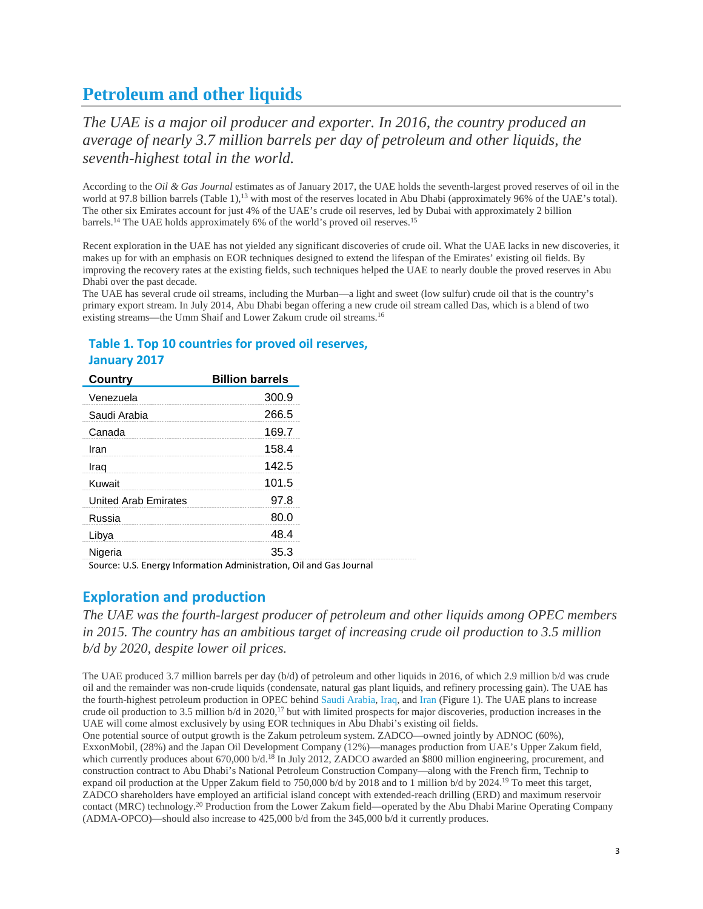# **Petroleum and other liquids**

*The UAE is a major oil producer and exporter. In 2016, the country produced an average of nearly 3.7 million barrels per day of petroleum and other liquids, the seventh-highest total in the world.*

According to the *Oil & Gas Journal* estimates as of January 2017, the UAE holds the seventh-largest proved reserves of oil in the world at 97.8 billion barrels (Table 1),<sup>13</sup> with most of the reserves located in Abu Dhabi (approximately 96% of the UAE's total). The other six Emirates account for just 4% of the UAE's crude oil reserves, led by Dubai with approximately 2 billion barrels.<sup>14</sup> The UAE holds approximately 6% of the world's proved oil reserves.<sup>15</sup>

Recent exploration in the UAE has not yielded any significant discoveries of crude oil. What the UAE lacks in new discoveries, it makes up for with an emphasis on EOR techniques designed to extend the lifespan of the Emirates' existing oil fields. By improving the recovery rates at the existing fields, such techniques helped the UAE to nearly double the proved reserves in Abu Dhabi over the past decade.

The UAE has several crude oil streams, including the Murban—a light and sweet (low sulfur) crude oil that is the country's primary export stream. In July 2014, Abu Dhabi began offering a new crude oil stream called Das, which is a blend of two existing streams—the Umm Shaif and Lower Zakum crude oil streams.16

### **Table 1. Top 10 countries for proved oil reserves, January 2017**

| <b>Country</b>              | <b>Billion barrels</b> |
|-----------------------------|------------------------|
| Venezuela                   | 300.9                  |
| Saudi Arabia                | 266.5                  |
| Canada                      | 169.7                  |
| Iran                        | 158.4                  |
| Iraq                        | 142.5                  |
| Kuwait                      | 101.5                  |
| <b>United Arab Emirates</b> | 97.8                   |
| Russia                      | 80.0                   |
| Libya                       | 48.4                   |
| Nigeria                     | 35.3                   |

Source: U.S. Energy Information Administration, Oil and Gas Journal

### **Exploration and production**

*The UAE was the fourth-largest producer of petroleum and other liquids among OPEC members in 2015. The country has an ambitious target of increasing crude oil production to 3.5 million b/d by 2020, despite lower oil prices.*

The UAE produced 3.7 million barrels per day (b/d) of petroleum and other liquids in 2016, of which 2.9 million b/d was crude oil and the remainder was non-crude liquids (condensate, natural gas plant liquids, and refinery processing gain). The UAE has the fourth-highest petroleum production in OPEC behind Saudi [Arabia,](http://wwwdev.eia.gov/beta/international/analysis.cfm?iso=SAU) [Iraq,](http://wwwdev.eia.gov/beta/international/analysis.cfm?iso=IRQ) and [Iran](http://wwwdev.eia.gov/beta/international/analysis.cfm?iso=IRN) (Figure 1). The UAE plans to increase crude oil production to 3.5 million  $b/d$  in 2020,<sup>17</sup> but with limited prospects for major discoveries, production increases in the UAE will come almost exclusively by using EOR techniques in Abu Dhabi's existing oil fields.

One potential source of output growth is the Zakum petroleum system. ZADCO—owned jointly by ADNOC (60%), ExxonMobil, (28%) and the Japan Oil Development Company (12%)—manages production from UAE's Upper Zakum field, which currently produces about 670,000 b/d.<sup>18</sup> In July 2012, ZADCO awarded an \$800 million engineering, procurement, and construction contract to Abu Dhabi's National Petroleum Construction Company—along with the French firm, Technip to expand oil production at the Upper Zakum field to 750,000 b/d by 2018 and to 1 million b/d by 2024.19 To meet this target, ZADCO shareholders have employed an artificial island concept with extended-reach drilling (ERD) and maximum reservoir contact (MRC) technology.20 Production from the Lower Zakum field—operated by the Abu Dhabi Marine Operating Company (ADMA-OPCO)—should also increase to 425,000 b/d from the 345,000 b/d it currently produces.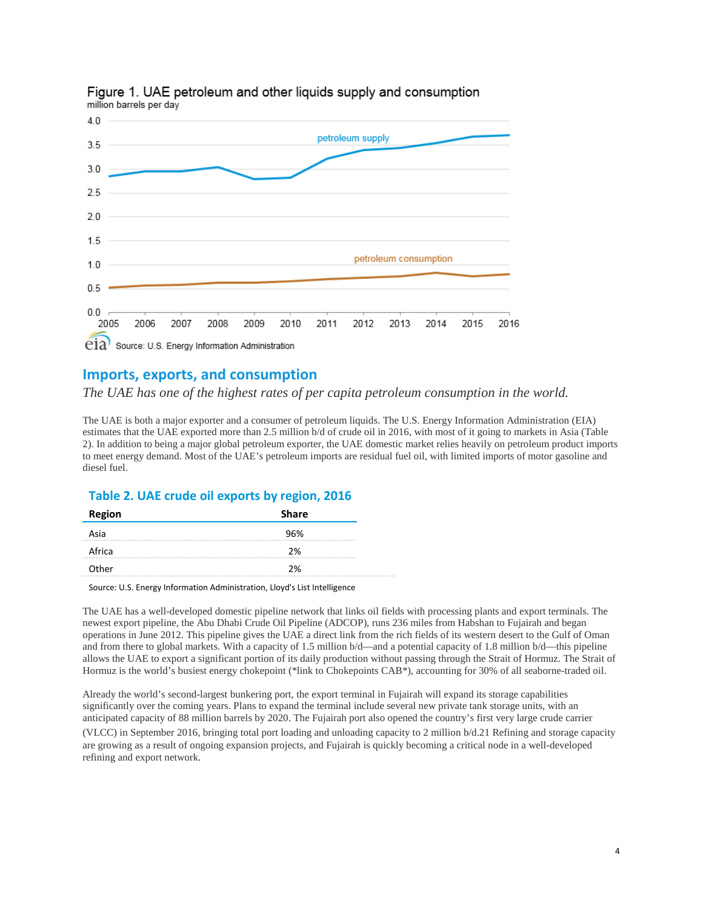

#### Figure 1. UAE petroleum and other liquids supply and consumption million barrels per day

### **Imports, exports, and consumption**

*The UAE has one of the highest rates of per capita petroleum consumption in the world.*

The UAE is both a major exporter and a consumer of petroleum liquids. The U.S. Energy Information Administration (EIA) estimates that the UAE exported more than 2.5 million b/d of crude oil in 2016, with most of it going to markets in Asia (Table 2). In addition to being a major global petroleum exporter, the UAE domestic market relies heavily on petroleum product imports to meet energy demand. Most of the UAE's petroleum imports are residual fuel oil, with limited imports of motor gasoline and diesel fuel.

### **Table 2. UAE crude oil exports by region, 2016**

| <b>Region</b>                               | <b>Share</b> |
|---------------------------------------------|--------------|
| Asia                                        | 96%          |
| Africa                                      | 2%           |
| Other<br><b>***************************</b> | 2%           |

#### Source: U.S. Energy Information Administration, Lloyd's List Intelligence

The UAE has a well-developed domestic pipeline network that links oil fields with processing plants and export terminals. The newest export pipeline, the Abu Dhabi Crude Oil Pipeline (ADCOP), runs 236 miles from Habshan to Fujairah and began operations in June 2012. This pipeline gives the UAE a direct link from the rich fields of its western desert to the Gulf of Oman and from there to global markets. With a capacity of 1.5 million b/d—and a potential capacity of 1.8 million b/d—this pipeline allows the UAE to export a significant portion of its daily production without passing through the Strait of Hormuz. The Strait of Hormuz is the world's busiest energy chokepoint (\*link to Chokepoints CAB\*), accounting for 30% of all seaborne-traded oil.

Already the world's second-largest bunkering port, the export terminal in Fujairah will expand its storage capabilities significantly over the coming years. Plans to expand the terminal include several new private tank storage units, with an anticipated capacity of 88 million barrels by 2020. The Fujairah port also opened the country's first very large crude carrier

(VLCC) in September 2016, bringing total port loading and unloading capacity to 2 million b/d.21 Refining and storage capacity are growing as a result of ongoing expansion projects, and Fujairah is quickly becoming a critical node in a well-developed refining and export network.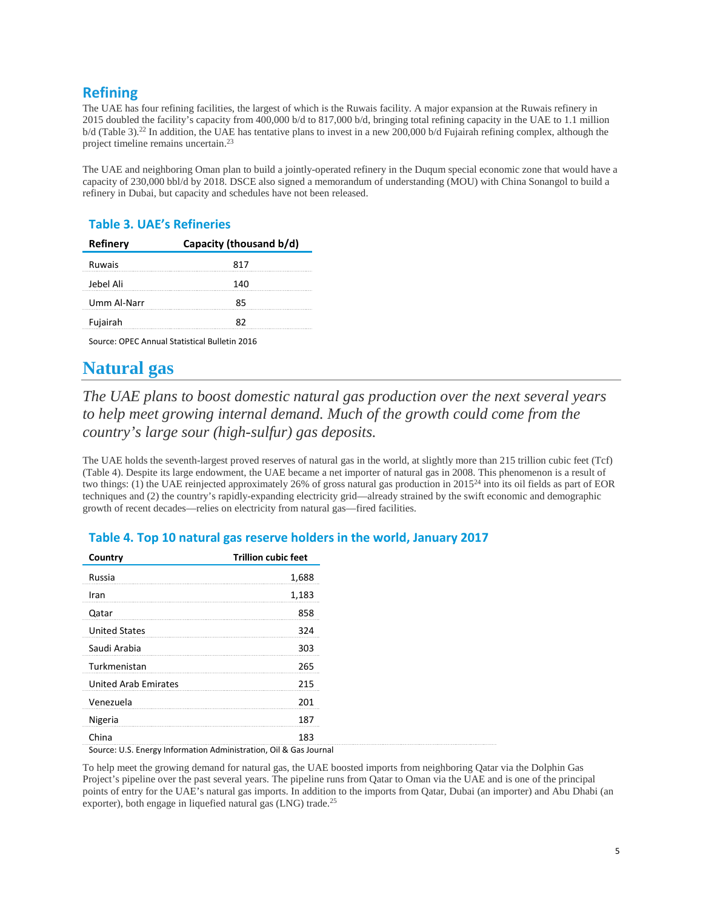# **Refining**

The UAE has four refining facilities, the largest of which is the Ruwais facility. A major expansion at the Ruwais refinery in 2015 doubled the facility's capacity from 400,000 b/d to 817,000 b/d, bringing total refining capacity in the UAE to 1.1 million b/d (Table 3).22 In addition, the UAE has tentative plans to invest in a new 200,000 b/d Fujairah refining complex, although the project timeline remains uncertain.23

The UAE and neighboring Oman plan to build a jointly-operated refinery in the Duqum special economic zone that would have a capacity of 230,000 bbl/d by 2018. DSCE also signed a memorandum of understanding (MOU) with China Sonangol to build a refinery in Dubai, but capacity and schedules have not been released.

### **Table 3. UAE's Refineries**

| Refinery    | Capacity (thousand b/d) |
|-------------|-------------------------|
| Ruwais      | 817                     |
| Jebel Ali   | 140                     |
| Umm Al-Narr | 85                      |
| Fujairah    | 82                      |
|             |                         |

Source: OPEC Annual Statistical Bulletin 2016

# **Natural gas**

# *The UAE plans to boost domestic natural gas production over the next several years to help meet growing internal demand. Much of the growth could come from the country's large sour (high-sulfur) gas deposits.*

The UAE holds the seventh-largest proved reserves of natural gas in the world, at slightly more than 215 trillion cubic feet (Tcf) (Table 4). Despite its large endowment, the UAE became a net importer of natural gas in 2008. This phenomenon is a result of two things: (1) the UAE reinjected approximately 26% of gross natural gas production in 201524 into its oil fields as part of EOR techniques and (2) the country's rapidly-expanding electricity grid—already strained by the swift economic and demographic growth of recent decades—relies on electricity from natural gas—fired facilities.

| Country                     | <b>Trillion cubic feet</b> |
|-----------------------------|----------------------------|
| Russia                      | 1,688                      |
| Iran                        | 1,183                      |
| Qatar                       | 858                        |
| <b>United States</b>        | 324                        |
| Saudi Arabia                | 303                        |
| Turkmenistan                | 265                        |
| <b>United Arab Emirates</b> | 215                        |
| Venezuela                   | 201                        |
| Nigeria                     | 187                        |
| China                       | 183                        |

### **Table 4. Top 10 natural gas reserve holders in the world, January 2017**

Source: U.S. Energy Information Administration, Oil & Gas Journal

To help meet the growing demand for natural gas, the UAE boosted imports from neighboring Qatar via the Dolphin Gas Project's pipeline over the past several years. The pipeline runs from Qatar to Oman via the UAE and is one of the principal points of entry for the UAE's natural gas imports. In addition to the imports from Qatar, Dubai (an importer) and Abu Dhabi (an exporter), both engage in liquefied natural gas (LNG) trade.<sup>25</sup>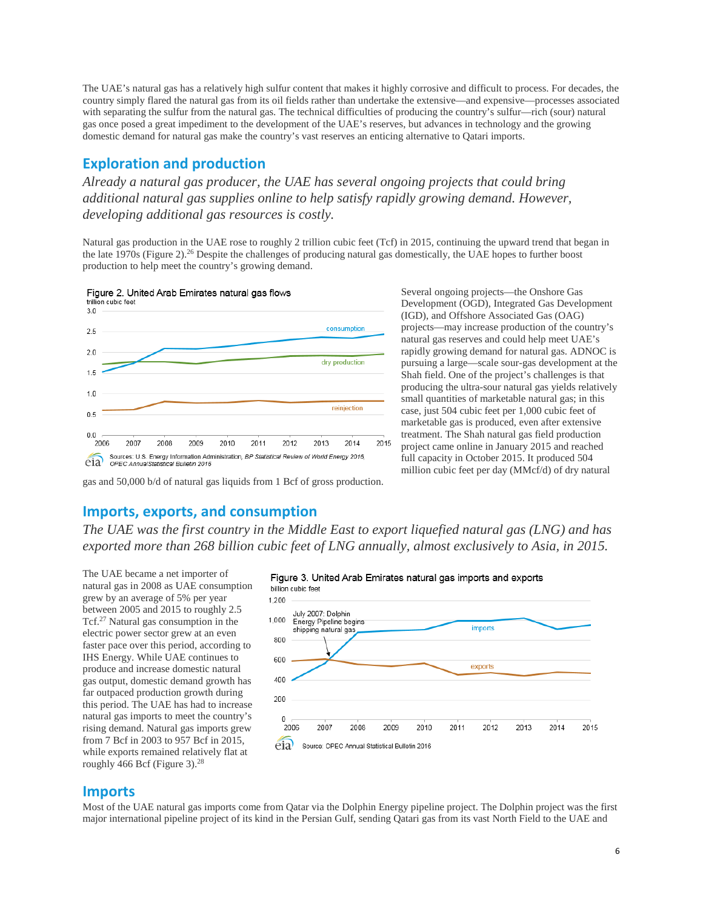The UAE's natural gas has a relatively high sulfur content that makes it highly corrosive and difficult to process. For decades, the country simply flared the natural gas from its oil fields rather than undertake the extensive—and expensive—processes associated with separating the sulfur from the natural gas. The technical difficulties of producing the country's sulfur—rich (sour) natural gas once posed a great impediment to the development of the UAE's reserves, but advances in technology and the growing domestic demand for natural gas make the country's vast reserves an enticing alternative to Qatari imports.

### **Exploration and production**

*Already a natural gas producer, the UAE has several ongoing projects that could bring additional natural gas supplies online to help satisfy rapidly growing demand. However, developing additional gas resources is costly.*

Natural gas production in the UAE rose to roughly 2 trillion cubic feet (Tcf) in 2015, continuing the upward trend that began in the late 1970s (Figure 2).26 Despite the challenges of producing natural gas domestically, the UAE hopes to further boost production to help meet the country's growing demand.



Several ongoing projects—the Onshore Gas Development (OGD), Integrated Gas Development (IGD), and Offshore Associated Gas (OAG) projects—may increase production of the country's natural gas reserves and could help meet UAE's rapidly growing demand for natural gas. ADNOC is pursuing a large—scale sour-gas development at the Shah field. One of the project's challenges is that producing the ultra-sour natural gas yields relatively small quantities of marketable natural gas; in this case, just 504 cubic feet per 1,000 cubic feet of marketable gas is produced, even after extensive treatment. The Shah natural gas field production project came online in January 2015 and reached full capacity in October 2015. It produced 504 million cubic feet per day (MMcf/d) of dry natural

gas and 50,000 b/d of natural gas liquids from 1 Bcf of gross production.

### **Imports, exports, and consumption**

*The UAE was the first country in the Middle East to export liquefied natural gas (LNG) and has exported more than 268 billion cubic feet of LNG annually, almost exclusively to Asia, in 2015.*

The UAE became a net importer of natural gas in 2008 as UAE consumption grew by an average of 5% per year between 2005 and 2015 to roughly 2.5 Tcf.27 Natural gas consumption in the electric power sector grew at an even faster pace over this period, according to IHS Energy. While UAE continues to produce and increase domestic natural gas output, domestic demand growth has far outpaced production growth during this period. The UAE has had to increase natural gas imports to meet the country's rising demand. Natural gas imports grew from 7 Bcf in 2003 to 957 Bcf in 2015, while exports remained relatively flat at roughly 466 Bcf (Figure 3).28



#### **Imports**

Most of the UAE natural gas imports come from Qatar via the Dolphin Energy pipeline project. The Dolphin project was the first major international pipeline project of its kind in the Persian Gulf, sending Qatari gas from its vast North Field to the UAE and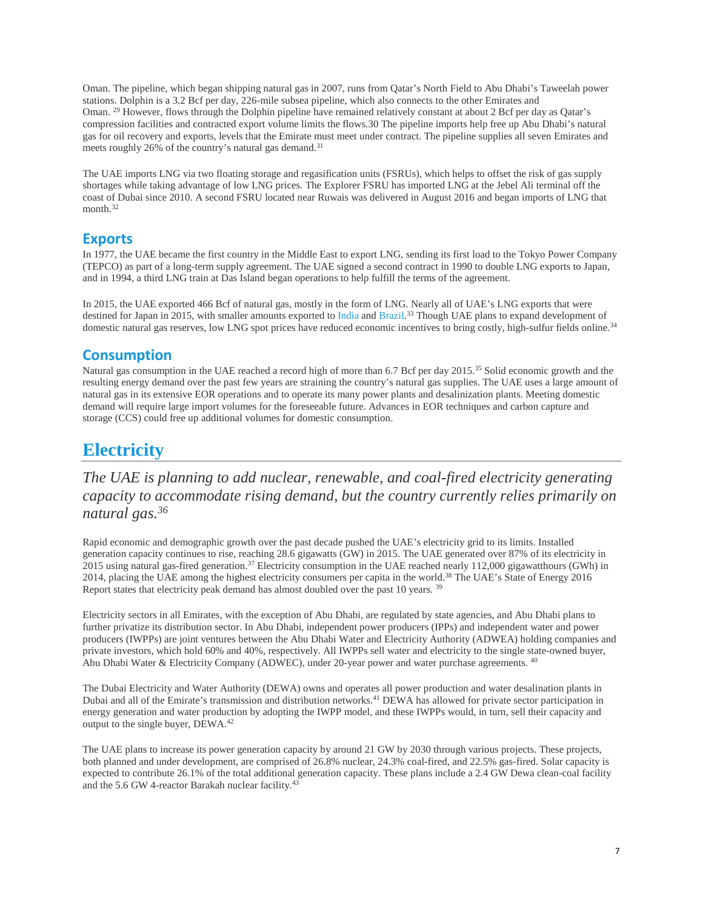Oman. The pipeline, which began shipping natural gas in 2007, runs from Qatar's North Field to Abu Dhabi's Taweelah power stations. Dolphin is a 3.2 Bcf per day, 226-mile subsea pipeline, which also connects to the other Emirates and Oman. <sup>29</sup> However, flows through the Dolphin pipeline have remained relatively constant at about 2 Bcf per day as Qatar's compression facilities and contracted export volume limits the flows.30 The pipeline imports help free up Abu Dhabi's natural gas for oil recovery and exports, levels that the Emirate must meet under contract. The pipeline supplies all seven Emirates and meets roughly 26% of the country's natural gas demand.<sup>31</sup>

The UAE imports LNG via two floating storage and regasification units (FSRUs), which helps to offset the risk of gas supply shortages while taking advantage of low LNG prices. The Explorer FSRU has imported LNG at the Jebel Ali terminal off the coast of Dubai since 2010. A second FSRU located near Ruwais was delivered in August 2016 and began imports of LNG that month.<sup>32</sup>

### **Exports**

In 1977, the UAE became the first country in the Middle East to export LNG, sending its first load to the Tokyo Power Company (TEPCO) as part of a long-term supply agreement. The UAE signed a second contract in 1990 to double LNG exports to Japan, and in 1994, a third LNG train at Das Island began operations to help fulfill the terms of the agreement.

In 2015, the UAE exported 466 Bcf of natural gas, mostly in the form of LNG. Nearly all of UAE's LNG exports that were destined for Japan in 2015, with smaller amounts exported to [India](http://wwwdev.eia.gov/beta/international/analysis.cfm?iso=IND) and [Brazil.](http://wwwdev.eia.gov/beta/international/analysis.cfm?iso=BRA)<sup>33</sup> Though UAE plans to expand development of domestic natural gas reserves, low LNG spot prices have reduced economic incentives to bring costly, high-sulfur fields online.<sup>34</sup>

### **Consumption**

Natural gas consumption in the UAE reached a record high of more than 6.7 Bcf per day 2015.35 Solid economic growth and the resulting energy demand over the past few years are straining the country's natural gas supplies. The UAE uses a large amount of natural gas in its extensive EOR operations and to operate its many power plants and desalinization plants. Meeting domestic demand will require large import volumes for the foreseeable future. Advances in EOR techniques and carbon capture and storage (CCS) could free up additional volumes for domestic consumption.

# **Electricity**

# *The UAE is planning to add nuclear, renewable, and coal-fired electricity generating capacity to accommodate rising demand, but the country currently relies primarily on natural gas.36*

Rapid economic and demographic growth over the past decade pushed the UAE's electricity grid to its limits. Installed generation capacity continues to rise, reaching 28.6 gigawatts (GW) in 2015. The UAE generated over 87% of its electricity in 2015 using natural gas-fired generation.<sup>37</sup> Electricity consumption in the UAE reached nearly 112,000 gigawatthours (GWh) in 2014, placing the UAE among the highest electricity consumers per capita in the world.38 The UAE's State of Energy 2016 Report states that electricity peak demand has almost doubled over the past 10 years. <sup>39</sup>

Electricity sectors in all Emirates, with the exception of Abu Dhabi, are regulated by state agencies, and Abu Dhabi plans to further privatize its distribution sector. In Abu Dhabi, independent power producers (IPPs) and independent water and power producers (IWPPs) are joint ventures between the Abu Dhabi Water and Electricity Authority (ADWEA) holding companies and private investors, which hold 60% and 40%, respectively. All IWPPs sell water and electricity to the single state-owned buyer, Abu Dhabi Water & Electricity Company (ADWEC), under 20-year power and water purchase agreements. <sup>40</sup>

The Dubai Electricity and Water Authority (DEWA) owns and operates all power production and water desalination plants in Dubai and all of the Emirate's transmission and distribution networks.41 DEWA has allowed for private sector participation in energy generation and water production by adopting the IWPP model, and these IWPPs would, in turn, sell their capacity and output to the single buyer, DEWA.42

The UAE plans to increase its power generation capacity by around 21 GW by 2030 through various projects. These projects, both planned and under development, are comprised of 26.8% nuclear, 24.3% coal-fired, and 22.5% gas-fired. Solar capacity is expected to contribute 26.1% of the total additional generation capacity. These plans include a 2.4 GW Dewa clean-coal facility and the 5.6 GW 4-reactor Barakah nuclear facility.<sup>43</sup>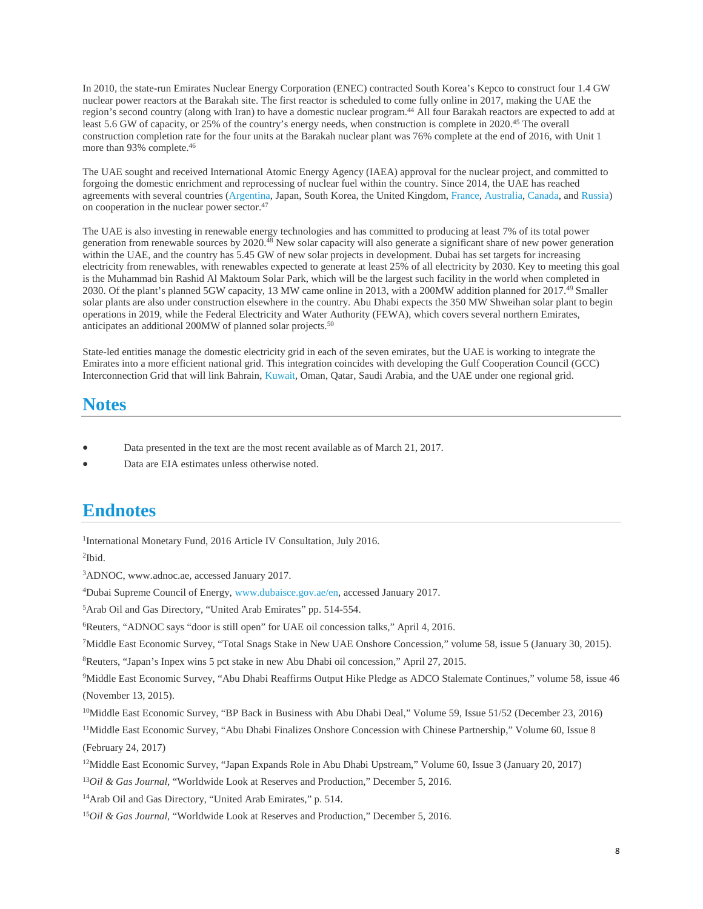In 2010, the state-run Emirates Nuclear Energy Corporation (ENEC) contracted South Korea's Kepco to construct four 1.4 GW nuclear power reactors at the Barakah site. The first reactor is scheduled to come fully online in 2017, making the UAE the region's second country (along with Iran) to have a domestic nuclear program.44 All four Barakah reactors are expected to add at least 5.6 GW of capacity, or 25% of the country's energy needs, when construction is complete in 2020.45 The overall construction completion rate for the four units at the Barakah nuclear plant was 76% complete at the end of 2016, with Unit 1 more than 93% complete.46

The UAE sought and received International Atomic Energy Agency (IAEA) approval for the nuclear project, and committed to forgoing the domestic enrichment and reprocessing of nuclear fuel within the country. Since 2014, the UAE has reached agreements with several countries [\(Argentina,](http://wwwdev.eia.gov/beta/international/analysis.cfm?iso=ARG) Japan, South Korea, the United Kingdom, [France,](http://wwwdev.eia.gov/beta/international/analysis.cfm?iso=FRA) [Australia,](http://wwwdev.eia.gov/beta/international/analysis.cfm?iso=AUS) [Canada,](http://wwwdev.eia.gov/beta/international/analysis.cfm?iso=CAN) and [Russia\)](http://wwwdev.eia.gov/beta/international/analysis.cfm?iso=RUS) on cooperation in the nuclear power sector.47

The UAE is also investing in renewable energy technologies and has committed to producing at least 7% of its total power generation from renewable sources by 2020.48 New solar capacity will also generate a significant share of new power generation within the UAE, and the country has 5.45 GW of new solar projects in development. Dubai has set targets for increasing electricity from renewables, with renewables expected to generate at least 25% of all electricity by 2030. Key to meeting this goal is the Muhammad bin Rashid Al Maktoum Solar Park, which will be the largest such facility in the world when completed in 2030. Of the plant's planned 5GW capacity, 13 MW came online in 2013, with a 200MW addition planned for 2017.<sup>49</sup> Smaller solar plants are also under construction elsewhere in the country. Abu Dhabi expects the 350 MW Shweihan solar plant to begin operations in 2019, while the Federal Electricity and Water Authority (FEWA), which covers several northern Emirates, anticipates an additional 200MW of planned solar projects.50

State-led entities manage the domestic electricity grid in each of the seven emirates, but the UAE is working to integrate the Emirates into a more efficient national grid. This integration coincides with developing the Gulf Cooperation Council (GCC) Interconnection Grid that will link Bahrain, [Kuwait,](http://wwwdev.eia.gov/beta/international/analysis.cfm?iso=KWT) Oman, Qatar, Saudi Arabia, and the UAE under one regional grid.

### **Notes**

- Data presented in the text are the most recent available as of March 21, 2017.
- Data are EIA estimates unless otherwise noted.

# **Endnotes**

<sup>1</sup>International Monetary Fund, 2016 Article IV Consultation, July 2016.

2Ibid.

3ADNOC, www.adnoc.ae, accessed January 2017.

4Dubai Supreme Council of Energy, [www.dubaisce.gov.ae/en,](http://www.dubaisce.gov.ae/en) accessed January 2017.

5Arab Oil and Gas Directory, "United Arab Emirates" pp. 514-554.

6Reuters, "ADNOC says "door is still open" for UAE oil concession talks," April 4, 2016.

7Middle East Economic Survey, "Total Snags Stake in New UAE Onshore Concession," volume 58, issue 5 (January 30, 2015).

8Reuters, "Japan's Inpex wins 5 pct stake in new Abu Dhabi oil concession," April 27, 2015.

9Middle East Economic Survey, "Abu Dhabi Reaffirms Output Hike Pledge as ADCO Stalemate Continues," volume 58, issue 46 (November 13, 2015).

10Middle East Economic Survey, "BP Back in Business with Abu Dhabi Deal," Volume 59, Issue 51/52 (December 23, 2016)

<sup>11</sup>Middle East Economic Survey, "Abu Dhabi Finalizes Onshore Concession with Chinese Partnership," Volume 60, Issue 8 (February 24, 2017)

12Middle East Economic Survey, "Japan Expands Role in Abu Dhabi Upstream," Volume 60, Issue 3 (January 20, 2017)

<sup>13</sup>*Oil & Gas Journal*, "Worldwide Look at Reserves and Production," December 5, 2016.

14Arab Oil and Gas Directory, "United Arab Emirates," p. 514.

<sup>15</sup>*Oil & Gas Journal*, "Worldwide Look at Reserves and Production," December 5, 2016.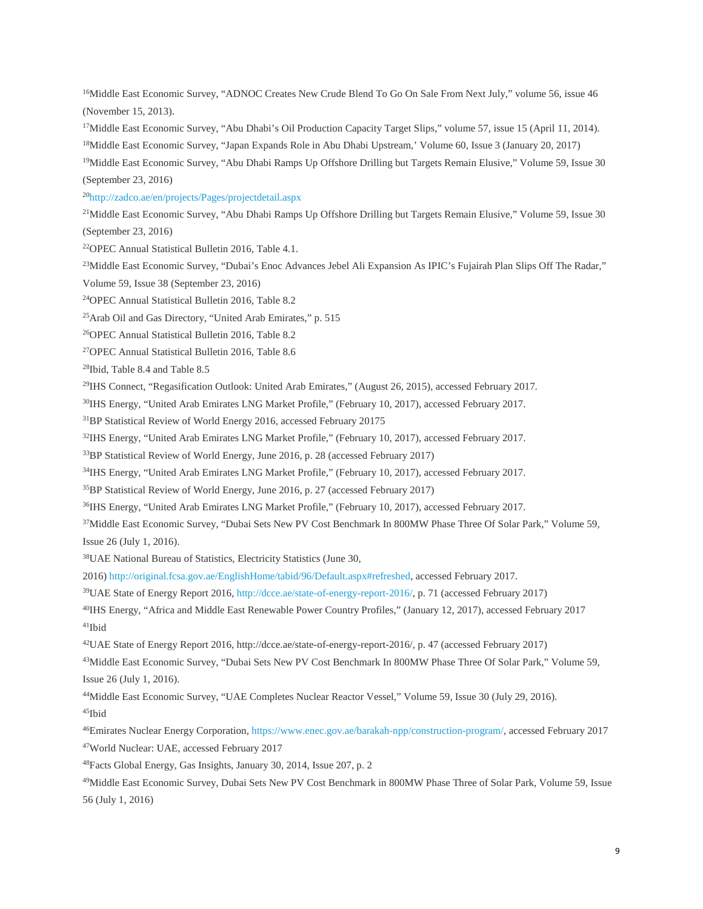<sup>16</sup>Middle East Economic Survey, "ADNOC Creates New Crude Blend To Go On Sale From Next July," volume 56, issue 46 (November 15, 2013).

<sup>17</sup>Middle East Economic Survey, "Abu Dhabi's Oil Production Capacity Target Slips," volume 57, issue 15 (April 11, 2014). 18Middle East Economic Survey, "Japan Expands Role in Abu Dhabi Upstream,' Volume 60, Issue 3 (January 20, 2017)

19Middle East Economic Survey, "Abu Dhabi Ramps Up Offshore Drilling but Targets Remain Elusive," Volume 59, Issue 30 (September 23, 2016)

2[0http://zadco.ae/en/projects/Pages/projectdetail.aspx](http://zadco.ae/en/projects/Pages/projectdetail.aspx)

<sup>21</sup>Middle East Economic Survey, "Abu Dhabi Ramps Up Offshore Drilling but Targets Remain Elusive," Volume 59, Issue 30 (September 23, 2016)

22OPEC Annual Statistical Bulletin 2016, Table 4.1.

<sup>23</sup>Middle East Economic Survey, "Dubai's Enoc Advances Jebel Ali Expansion As IPIC's Fujairah Plan Slips Off The Radar,"

Volume 59, Issue 38 (September 23, 2016)

24OPEC Annual Statistical Bulletin 2016, Table 8.2

25Arab Oil and Gas Directory, "United Arab Emirates," p. 515

26OPEC Annual Statistical Bulletin 2016, Table 8.2

27OPEC Annual Statistical Bulletin 2016, Table 8.6

28Ibid, Table 8.4 and Table 8.5

29IHS Connect, "Regasification Outlook: United Arab Emirates," (August 26, 2015), accessed February 2017.

30IHS Energy, "United Arab Emirates LNG Market Profile," (February 10, 2017), accessed February 2017.

31BP Statistical Review of World Energy 2016, accessed February 20175

32IHS Energy, "United Arab Emirates LNG Market Profile," (February 10, 2017), accessed February 2017.

<sup>33</sup>BP Statistical Review of World Energy, June 2016, p. 28 (accessed February 2017)

34IHS Energy, "United Arab Emirates LNG Market Profile," (February 10, 2017), accessed February 2017.

35BP Statistical Review of World Energy, June 2016, p. 27 (accessed February 2017)

36IHS Energy, "United Arab Emirates LNG Market Profile," (February 10, 2017), accessed February 2017.

37Middle East Economic Survey, "Dubai Sets New PV Cost Benchmark In 800MW Phase Three Of Solar Park," Volume 59, Issue 26 (July 1, 2016).

38UAE National Bureau of Statistics, Electricity Statistics (June 30,

2016) [http://original.fcsa.gov.ae/EnglishHome/tabid/96/Default.aspx#refreshed,](http://original.fcsa.gov.ae/EnglishHome/tabid/96/Default.aspx#refreshed) accessed February 2017.

39UAE State of Energy Report 2016, [http://dcce.ae/state-of-energy-report-2016/,](http://dcce.ae/state-of-energy-report-2016/) p. 71 (accessed February 2017)

40IHS Energy, "Africa and Middle East Renewable Power Country Profiles," (January 12, 2017), accessed February 2017 41Ibid

42UAE State of Energy Report 2016, http://dcce.ae/state-of-energy-report-2016/, p. 47 (accessed February 2017)

43Middle East Economic Survey, "Dubai Sets New PV Cost Benchmark In 800MW Phase Three Of Solar Park," Volume 59, Issue 26 (July 1, 2016).

44Middle East Economic Survey, "UAE Completes Nuclear Reactor Vessel," Volume 59, Issue 30 (July 29, 2016). 45Ibid

46Emirates Nuclear Energy Corporation, [https://www.enec.gov.ae/barakah-npp/construction-program/,](https://www.enec.gov.ae/barakah-npp/construction-program/) accessed February 2017

47World Nuclear: UAE, accessed February 2017

48Facts Global Energy, Gas Insights, January 30, 2014, Issue 207, p. 2

49Middle East Economic Survey, Dubai Sets New PV Cost Benchmark in 800MW Phase Three of Solar Park, Volume 59, Issue 56 (July 1, 2016)